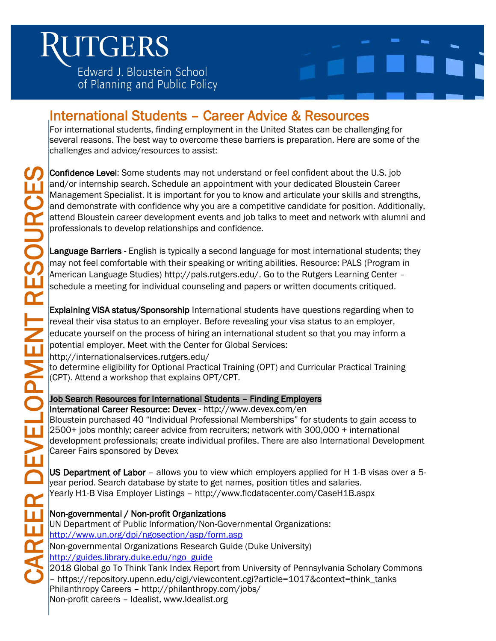# **JTGERS**

Edward J. Bloustein School of Planning and Public Policy



### International Students – Career Advice & Resources

For international students, finding employment in the United States can be challenging for several reasons. The best way to overcome these barriers is preparation. Here are some of the challenges and advice/resources to assist:

 Confidence Level: Some students may not understand or feel confident about the U.S. job and/or internship search. Schedule an appointment with your dedicated Bloustein Career Management Specialist. It is important for you to know and articulate your skills and strengths, and demonstrate with confidence why you are a competitive candidate for position. Additionally, attend Bloustein career development events and job talks to meet and network with alumni and professionals to develop relationships and confidence.

may not feel comfortable with their speaking or writing abilities. Resource: PALS (Program in American Language Studies) [http://pals.rutgers.edu/.](http://pals.rutgers.edu/) Go to the Rutgers Learning Center – schedule a meeting for individual counseling and papers or written documents critiqued.

Maringement specialists. Its minipalities the marial of obligations:<br>
and demonstrate with confidence why you are a competitive candidate for position. Additionally<br>
professionals to develop relationships and confidence.<br> Explaining VISA status/Sponsorship International students have questions regarding when to reveal their visa status to an employer. Before revealing your visa status to an employer, educate yourself on the process of hiring an international student so that you may inform a potential employer. Meet with the Center for Global Services: <http://internationalservices.rutgers.edu/>

to determine eligibility for Optional Practical Training (OPT) and Curricular Practical Training (CPT). Attend a workshop that explains OPT/CPT.

### Job Search Resources for International Students – Finding Employers

 International Career Resource: Devex - <http://www.devex.com/en> Bloustein purchased 40 "Individual Professional Memberships" for students to gain access to 2500+ jobs monthly; career advice from recruiters; network with 300,000 + international development professionals; create individual profiles. There are also International Development Career Fairs sponsored by Devex

US Department of Labor – allows you to view which employers applied for H 1-B visas over a 5 year period. Search database by state to get names, position titles and salaries. Yearly H1-B Visa Employer Listings – <http://www.flcdatacenter.com/CaseH1B.aspx>

### Non-governmental / Non-profit Organizations

 UN Department of Public Information/Non-Governmental Organizations: <http://www.un.org/dpi/ngosection/asp/form.asp> Non-governmental Organizations Research Guide (Duke University) [http://guides.library.duke.edu/ngo\\_guide](http://guides.library.duke.edu/ngo_guide)

2018 Global go To Think Tank Index Report from University of Pennsylvania Scholary Commons – https://repository.upenn.edu/cigi/viewcontent.cgi?article=1017&context=think\_tanks Philanthropy Careers – <http://philanthropy.com/jobs/> Non-profit careers – Idealist, www.Idealist.org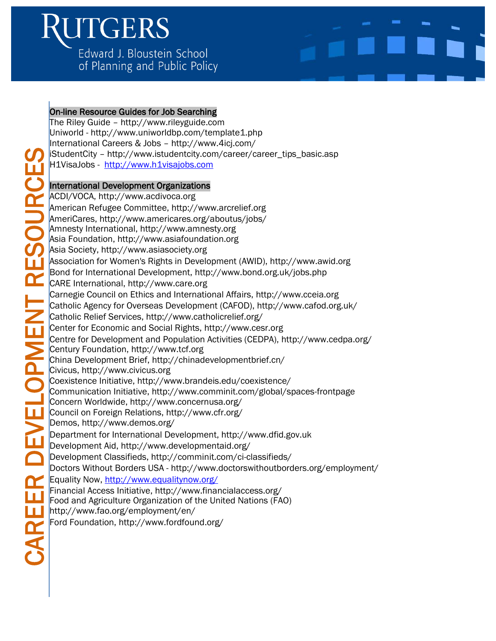# ITGERS

Edward J. Bloustein School of Planning and Public Policy



# CAREER DEVELOPMENT RESOURCES

On-line Resource Guides for Job Searching

The Riley Guide – [http://www.rileyguide.com](http://www.rileyguide.com/) Uniworld - <http://www.uniworldbp.com/template1.php> International Careers & Jobs – <http://www.4icj.com/> iStudentCity – [http://www.istudentcity.com/career/career\\_tips\\_basic.asp](http://www.istudentcity.com/career/career_tips_basic.asp) H1VisaJobs - [http://www.h1visajobs.com](http://www.h1visajobs.com/)

### International Development Organizations

ACDI/VOCA, [http://www.acdivoca.org](http://www.acdivoca.org/) American Refugee Committee, [http://www.arcrelief.org](http://www.arcrelief.org/) AmeriCares,<http://www.americares.org/aboutus/jobs/> Amnesty International, [http://www.amnesty.org](http://www.amnesty.org/) Asia Foundation, [http://www.asiafoundation.org](http://www.asiafoundation.org/) Asia Society, [http://www.asiasociety.org](http://www.asiasociety.org/) Association for Women's Rights in Development (AWID), [http://www.awid.org](http://www.awid.org/) Bond for International Development,<http://www.bond.org.uk/jobs.php> CARE International, [http://www.care.org](http://www.care.org/) Carnegie Council on Ethics and International Affairs, [http://www.cceia.org](http://www.cceia.org/) Catholic Agency for Overseas Development (CAFOD),<http://www.cafod.org.uk/> Catholic Relief Services,<http://www.catholicrelief.org/> Center for Economic and Social Rights, [http://www.cesr.org](http://www.cesr.org/) Centre for Development and Population Activities (CEDPA),<http://www.cedpa.org/> Century Foundation, [http://www.tcf.org](http://www.tcf.org/) China Development Erief, http://www.scruerer\_tites.com/career/career\_tites.com/career/career\_tites.com/career/career\_tites.http://www.actionsitionsitionsitionsitionsitionsitionsitionsitionsitionsitionsitionsitionsitionsiti Civicus, [http://www.civicus.org](http://www.civicus.org/) Coexistence Initiative,<http://www.brandeis.edu/coexistence/> Communication Initiative,<http://www.comminit.com/global/spaces-frontpage> Concern Worldwide,<http://www.concernusa.org/> Council on Foreign Relations,<http://www.cfr.org/> Demos,<http://www.demos.org/> Department for International Development, [http://www.dfid.gov.uk](http://www.dfid.gov.uk/) Development Aid,<http://www.developmentaid.org/> Development Classifieds,<http://comminit.com/ci-classifieds/> Doctors Without Borders USA - <http://www.doctorswithoutborders.org/employment/> Equality Now,<http://www.equalitynow.org/> Financial Access Initiative,<http://www.financialaccess.org/> Food and Agriculture Organization of the United Nations (FAO) <http://www.fao.org/employment/en/> Ford Foundation,<http://www.fordfound.org/>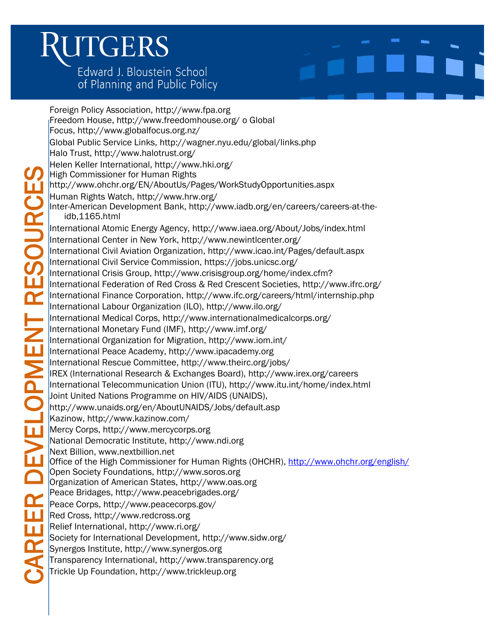# ITGERS

Edward J. Bloustein School of Planning and Public Policy

Foreign Policy Association, [http://www.fpa.org](http://www.fpa.org/jobs_contact2423/jobs_contact.htm) Freedom House,<http://www.freedomhouse.org/> o Global Focus,<http://www.globalfocus.org.nz/> Global Public Service Links,<http://wagner.nyu.edu/global/links.php> Halo Trust,<http://www.halotrust.org/> Helen Keller International,<http://www.hki.org/> High Commissioner for Human Rights <http://www.ohchr.org/EN/AboutUs/Pages/WorkStudyOpportunities.aspx> Human Rights Watch,<http://www.hrw.org/> Inter-American Development Bank, [http://www.iadb.org/en/careers/careers-at-the](http://www.iadb.org/en/careers/careers-at-the-idb%2C1165.html)[idb,1165.html](http://www.iadb.org/en/careers/careers-at-the-idb%2C1165.html) International Atomic Energy Agency,<http://www.iaea.org/About/Jobs/index.html> International Center in New York,<http://www.newintlcenter.org/> International Civil Aviation Organization,<http://www.icao.int/Pages/default.aspx> International Civil Service Commission,<https://jobs.unicsc.org/> International Crisis Group, [http://www.crisisgroup.org/home/index.cfm?](http://www.crisisgroup.org/home/index.cfm) International Federation of Red Cross & Red Crescent Societies,<http://www.ifrc.org/> International Finance Corporation,<http://www.ifc.org/careers/html/internship.php> International Labour Organization (ILO),<http://www.ilo.org/> International Medical Corps,<http://www.internationalmedicalcorps.org/> International Monetary Fund (IMF),<http://www.imf.org/> International Organization for Migration,<http://www.iom.int/> International Peace Academy, [http://www.ipacademy.org](http://www.ipacademy.org/) International Rescue Committee,<http://www.theirc.org/jobs/> IREX (International Research & Exchanges Board),<http://www.irex.org/careers> International Telecommunication Union (ITU),<http://www.itu.int/home/index.html> Joint United Nations Programme on HIV/AIDS (UNAIDS), <http://www.unaids.org/en/AboutUNAIDS/Jobs/default.asp> Kazinow,<http://www.kazinow.com/> Mercy Corps, [http://www.mercycorps.org](http://www.mercycorps.org/) National Democratic Institute, [http://www.ndi.org](http://www.ndi.org/) Next Billion, [www.nextbillion.net](http://www.nextbillion.net/) Office of the High Commissioner for Human Rights (OHCHR), <http://www.ohchr.org/english/> Open Society Foundations, [http://www.soros.org](http://www.soros.org/) Organization of American States, [http://www.oas.org](http://www.oas.org/) Peace Bridages,<http://www.peacebrigades.org/> Peace Corps,<http://www.peacecorps.gov/> Red Cross, [http://www.redcross.org](http://www.redcross.org/) Relief International,<http://www.ri.org/> Society for International Development,<http://www.sidw.org/> Synergos Institute, [http://www.synergos.org](http://www.synergos.org/) Transparency International, [http://www.transparency.org](http://www.transparency.org/) Trickle Up Foundation, [http://www.trickleup.org](http://www.trickleup.org/)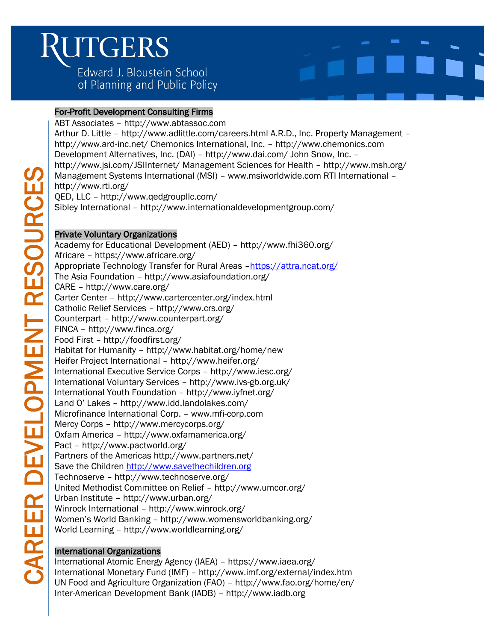### Ì ITGERS Í ì

Edward J. Bloustein School of Planning and Public Policy

### i<br>I For-Profit Development Consulting Firms

ABT Associates – [http://www.abtassoc.com](http://www.abtassoc.com/) Arthur D. Little – <http://www.adlittle.com/careers.html> A.R.D., Inc. Property Management – <http://www.ard-inc.net/> Chemonics International, Inc. – [http://www.chemonics.com](http://www.chemonics.com/) Development Alternatives, Inc. (DAI) – <http://www.dai.com/> John Snow, Inc. – <http://www.jsi.com/JSIInternet/> Management Sciences for Health – <http://www.msh.org/> Management Systems International (MSI) – [www.msiworldwide.com](http://www.msiworldwide.com/) RTI International – <http://www.rti.org/> QED, LLC – <http://www.qedgroupllc.com/> Sibley International – <http://www.internationaldevelopmentgroup.com/> Private Voluntary Organizations Academy for Educational Development (AED) – <http://www.fhi360.org/> Africare – <https://www.africare.org/> Appropriate Technology Transfer for Rural Areas –<https://attra.ncat.org/>

The Asia Foundation – <http://www.asiafoundation.org/> CARE – <http://www.care.org/> Carter Center – <http://www.cartercenter.org/index.html> Catholic Relief Services – <http://www.crs.org/> Counterpart – <http://www.counterpart.org/> FINCA – <http://www.finca.org/> Food First – <http://foodfirst.org/> Habitat for Humanity – <http://www.habitat.org/home/new> Heifer Project International – <http://www.heifer.org/> International Executive Service Corps – <http://www.iesc.org/> International Voluntary Services – <http://www.ivs-gb.org.uk/> International Youth Foundation – <http://www.iyfnet.org/> Land O' Lakes – <http://www.idd.landolakes.com/> Microfinance International Corp. – [www.mfi-corp.com](http://www.mfi-corp.com/) Mercy Corps – <http://www.mercycorps.org/> Oxfam America – <http://www.oxfamamerica.org/> Pact – <http://www.pactworld.org/> Partners of the Americas<http://www.partners.net/> Save the Children [http://www.savethechildren.org](http://www.savethechildren.org/) Technoserve – <http://www.technoserve.org/> United Methodist Committee on Relief – <http://www.umcor.org/> Urban Institute – <http://www.urban.org/> Winrock International – <http://www.winrock.org/> Women's World Banking – <http://www.womensworldbanking.org/> World Learning – <http://www.worldlearning.org/>

### International Organizations

International Atomic Energy Agency (IAEA) – <https://www.iaea.org/> International Monetary Fund (IMF) – <http://www.imf.org/external/index.htm> UN Food and Agriculture Organization (FAO) – <http://www.fao.org/home/en/> Inter-American Development Bank (IADB) – [http://www.iadb.org](http://www.iadb.org/en/inter-american-development-bank%2C2837.html)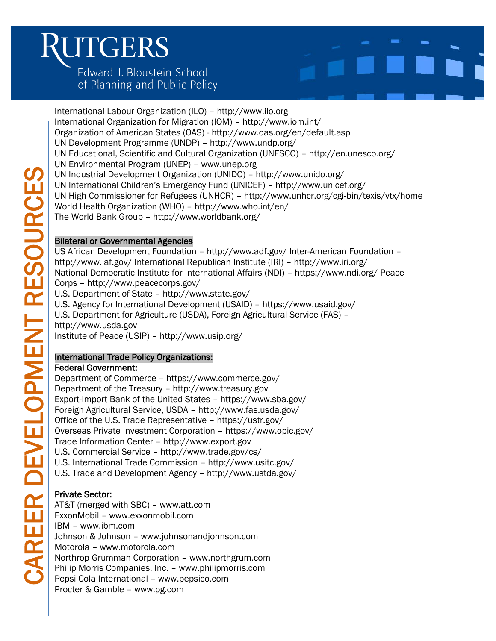# ITGERS

Edward J. Bloustein School of Planning and Public Policy

International Labour Organization (ILO) – [http://www.ilo.org](http://www.ilo.org/global/lang--en/index.htm) International Organization for Migration (IOM) – <http://www.iom.int/> Organization of American States (OAS) - <http://www.oas.org/en/default.asp> UN Development Programme (UNDP) – <http://www.undp.org/> UN Educational, Scientific and Cultural Organization (UNESCO) – <http://en.unesco.org/> UN Environmental Program (UNEP) – [www.unep.org](http://www.unep.org/) UN Industrial Development Organization (UNIDO) – <http://www.unido.org/> UN International Children's Emergency Fund (UNICEF) – <http://www.unicef.org/> UN High Commissioner for Refugees (UNHCR) – <http://www.unhcr.org/cgi-bin/texis/vtx/home> World Health Organization (WHO) – <http://www.who.int/en/> The World Bank Group – <http://www.worldbank.org/>

### Bilateral or Governmental Agencies

US African Development Foundation – <http://www.adf.gov/> Inter-American Foundation – <http://www.iaf.gov/> International Republican Institute (IRI) – <http://www.iri.org/> National Democratic Institute for International Affairs (NDI) – <https://www.ndi.org/> Peace Corps – <http://www.peacecorps.gov/> U.S. Department of State – <http://www.state.gov/> U.S. Agency for International Development (USAID) – <https://www.usaid.gov/> U.S. Department for Agriculture (USDA), Foreign Agricultural Service (FAS) –

[http://www.usda.gov](http://www.usda.gov/wps/portal/usda/usdahome) Institute of Peace (USIP) – <http://www.usip.org/>

### International Trade Policy Organizations:

### Federal Government:

Department of Commerce – <https://www.commerce.gov/> Department of the Treasury – [http://www.treasury.gov](http://www.treasury.gov/Pages/default.aspx) Export-Import Bank of the United States – <https://www.sba.gov/> Foreign Agricultural Service, USDA – <http://www.fas.usda.gov/> Office of the U.S. Trade Representative – <https://ustr.gov/> Overseas Private Investment Corporation – <https://www.opic.gov/> Trade Information Center – [http://www.export.gov](http://www.export.gov/exportbasics/eg_main_017483.asp) U.S. Commercial Service – <http://www.trade.gov/cs/> U.S. International Trade Commission – <http://www.usitc.gov/> U.S. Trade and Development Agency – <http://www.ustda.gov/>

### Private Sector:

AT&T (merged with SBC) – [www.att.com](http://www.att.com/) ExxonMobil – [www.exxonmobil.com](http://www.exxonmobil.com/) IBM – [www.ibm.com](http://www.ibm.com/) Johnson & Johnson – [www.johnsonandjohnson.com](http://www.johnsonandjohnson.com/) Motorola – [www.motorola.com](http://www.motorola.com/) Northrop Grumman Corporation – [www.northgrum.com](http://www.northgrum.com/) Philip Morris Companies, Inc. – [www.philipmorris.com](http://www.philipmorris.com/) Pepsi Cola International – [www.pepsico.com](http://www.pepsico.com/) Procter & Gamble – [www.pg.com](http://www.pg.com/)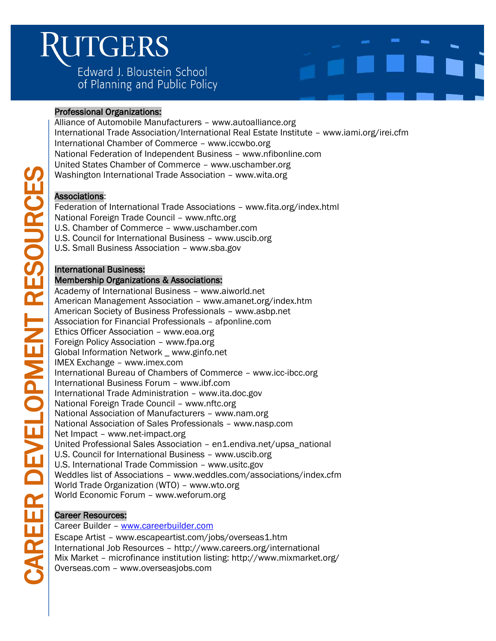### Ì ITGERS ĺ ľ

Edward J. Bloustein School of Planning and Public Policy

### Ĩ Professional Organizations:

Alliance of Automobile Manufacturers – [www.autoalliance.org](http://www.autoalliance.org/) International Trade Association/International Real Estate Institute – [www.iami.org/irei.cfm](http://www.iami.org/irei.cfm) International Chamber of Commerce – [www.iccwbo.org](http://www.iccwbo.org/) National Federation of Independent Business – [www.nfibonline.com](http://www.nfibonline.com/) United States Chamber of Commerce – [www.uschamber.org](http://www.uschamber.org/) Washington International Trade Association – [www.wita.org](http://www.wita.org/)

### Associations:

Federation of International Trade Associations – [www.fita.org/index.html](http://www.fita.org/index.html) National Foreign Trade Council – [www.nftc.org](http://www.nftc.org/) U.S. Chamber of Commerce – [www.uschamber.com](http://www.uschamber.com/) U.S. Council for International Business – [www.uscib.org](http://www.uscib.org/) U.S. Small Business Association – [www.sba.gov](http://www.sba.gov/)

### International Business:

### Membership Organizations & Associations:

Academy of International Business – [www.aiworld.net](http://www.aiworld.net/) American Management Association – [www.amanet.org/index.htm](http://www.amanet.org/index.htm) American Society of Business Professionals – [www.asbp.net](http://www.asbp.net/) Association for Financial Professionals – afponline.com Ethics Officer Association – [www.eoa.org](http://www.eoa.org/) Foreign Policy Association – [www.fpa.org](http://www.fpa.org/) Global Information Network [\\_ www.ginfo.net](http://www.ginfo.net/) IMEX Exchange – [www.imex.com](http://www.imex.com/) International Bureau of Chambers of Commerce – [www.icc-ibcc.org](http://www.icc-ibcc.org/) International Business Forum – [www.ibf.com](http://www.ibf.com/) International Trade Administration – [www.ita.doc.gov](http://www.ita.doc.gov/) National Foreign Trade Council – [www.nftc.org](http://www.nftc.org/) National Association of Manufacturers – [www.nam.org](http://www.nam.org/) National Association of Sales Professionals – [www.nasp.com](http://www.nasp.com/) Net Impact – [www.net-impact.org](http://www.net-impact.org/) United Professional Sales Association – en1.endiva.net/upsa\_national U.S. Council for International Business – [www.uscib.org](http://www.uscib.org/) U.S. International Trade Commission – [www.usitc.gov](http://www.usitc.gov/) Weddles list of Associations – [www.weddles.com/associations/index.cfm](http://www.weddles.com/associations/index.cfm) World Trade Organization (WTO) – [www.wto.org](http://www.wto.org/) World Economic Forum – [www.weforum.org](http://www.weforum.org/)

### Career Resources:

Career Builder - www.careerbuilder.com

Escape Artist – [www.escapeartist.com/jobs/overseas1.htm](http://www.escapeartist.com/jobs/overseas1.htm) International Job Resources – <http://www.careers.org/international> Mix Market – microfinance institution listing[: http://www.mixmarket.org/](http://www.mixmarket.org/) Overseas.com – [www.overseasjobs.com](http://www.overseasjobs.com/)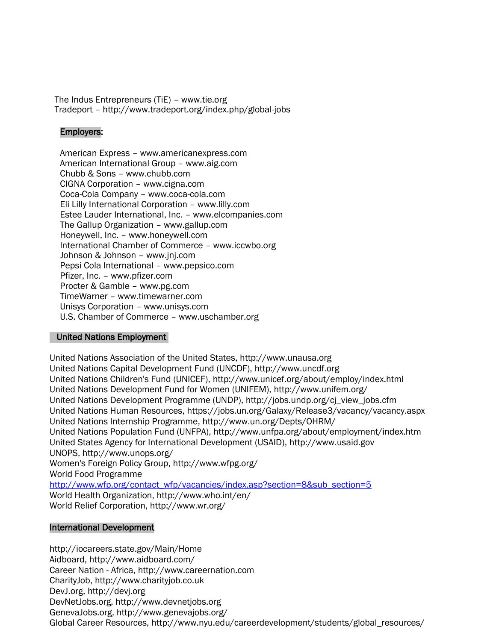The Indus Entrepreneurs (TiE) – [www.tie.org](http://www.tie.org/) Tradeport – <http://www.tradeport.org/index.php/global-jobs>

### Employers:

American Express – [www.americanexpress.com](http://www.americanexpress.com/) American International Group – [www.aig.com](http://www.aig.com/) Chubb & Sons – [www.chubb.com](http://www.chubb.com/) CIGNA Corporation – [www.cigna.com](http://www.cigna.com/) Coca-Cola Company – [www.coca-cola.com](http://www.coca-cola.com/) Eli Lilly International Corporation – [www.lilly.com](http://www.lilly.com/) Estee Lauder International, Inc. – [www.elcompanies.com](http://www.elcompanies.com/) The Gallup Organization – [www.gallup.com](http://www.gallup.com/) Honeywell, Inc. – [www.honeywell.com](http://www.honeywell.com/) International Chamber of Commerce – [www.iccwbo.org](http://www.iccwbo.org/) Johnson & Johnson – [www.jnj.com](http://www.jnj.com/) Pepsi Cola International – [www.pepsico.com](http://www.pepsico.com/) Pfizer, Inc. – [www.pfizer.com](http://www.pfizer.com/) Procter & Gamble – [www.pg.com](http://www.pg.com/) TimeWarner – [www.timewarner.com](http://www.timewarner.com/) Unisys Corporation – [www.unisys.com](http://www.unisys.com/) U.S. Chamber of Commerce – [www.uschamber.org](http://www.uschamber.org/)

### [United Nations Employment](http://wagner.nyu.edu/careers/resources/files/UN%20presentation.ppt)

United Nations Association of the United States, [http://www.unausa.org](http://www.unausa.org/) United Nations Capital Development Fund (UNCDF), [http://www.uncdf.org](http://www.uncdf.org/) United Nations Children's Fund (UNICEF),<http://www.unicef.org/about/employ/index.html> United Nations Development Fund for Women (UNIFEM),<http://www.unifem.org/> United Nations Development Programme (UNDP), [http://jobs.undp.org/cj\\_view\\_jobs.cfm](http://jobs.undp.org/cj_view_jobs.cfm) United Nations Human Resources,<https://jobs.un.org/Galaxy/Release3/vacancy/vacancy.aspx> United Nations Internship Programme,<http://www.un.org/Depts/OHRM/> United Nations Population Fund (UNFPA),<http://www.unfpa.org/about/employment/index.htm> United States Agency for International Development (USAID), [http://www.usaid.gov](http://www.usaid.gov/) UNOPS,<http://www.unops.org/> Women's Foreign Policy Group,<http://www.wfpg.org/> World Food Programme [http://www.wfp.org/contact\\_wfp/vacancies/index.asp?section=8&sub\\_section=5](http://www.wfp.org/contact_wfp/vacancies/index.asp?section=8&sub_section=5) World Health Organization,<http://www.who.int/en/> World Relief Corporation,<http://www.wr.org/>

### International Development

<http://iocareers.state.gov/Main/Home> Aidboard,<http://www.aidboard.com/> Career Nation - Africa, [http://www.careernation.com](http://www.careernation.com/) CharityJob, [http://www.charityjob.co.uk](http://www.charityjob.co.uk/) DevJ.org, [http://devj.org](http://devj.org/) DevNetJobs.org, [http://www.devnetjobs.org](http://www.devnetjobs.org/) GenevaJobs.org,<http://www.genevajobs.org/> Global Career Resources, [http://www.nyu.edu/careerdevelopment/students/global\\_resources/](http://www.nyu.edu/careerdevelopment/students/global_resources/)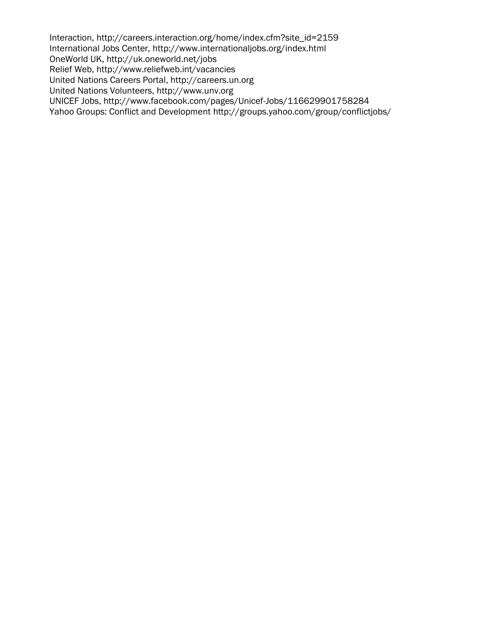Interaction, [http://careers.interaction.org/home/index.cfm?site\\_id=2159](http://careers.interaction.org/home/index.cfm?site_id=2159) International Jobs Center,<http://www.internationaljobs.org/index.html> OneWorld UK,<http://uk.oneworld.net/jobs> Relief Web,<http://www.reliefweb.int/vacancies> United Nations Careers Portal, [http://careers.un.org](http://careers.un.org/) United Nations Volunteers, [http://www.unv.org](http://www.unv.org/) UNICEF Jobs,<http://www.facebook.com/pages/Unicef-Jobs/116629901758284> Yahoo Groups: Conflict and Development<http://groups.yahoo.com/group/conflictjobs/>